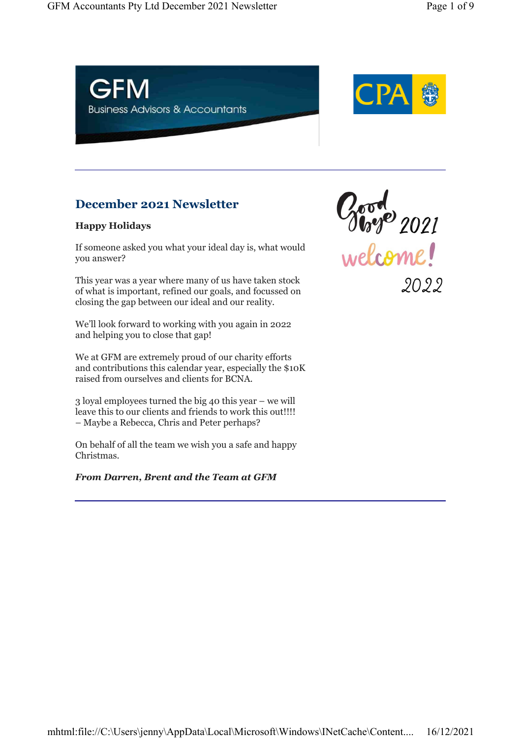

# December 2021 Newsletter

### Happy Holidays

If someone asked you what your ideal day is, what would you answer?

This year was a year where many of us have taken stock of what is important, refined our goals, and focussed on closing the gap between our ideal and our reality.

We'll look forward to working with you again in 2022 and helping you to close that gap!

We at GFM are extremely proud of our charity efforts and contributions this calendar year, especially the \$10K raised from ourselves and clients for BCNA.

3 loyal employees turned the big 40 this year – we will leave this to our clients and friends to work this out!!!! – Maybe a Rebecca, Chris and Peter perhaps?

On behalf of all the team we wish you a safe and happy Christmas.

### From Darren, Brent and the Team at GFM

Good<br>Welcome!

2022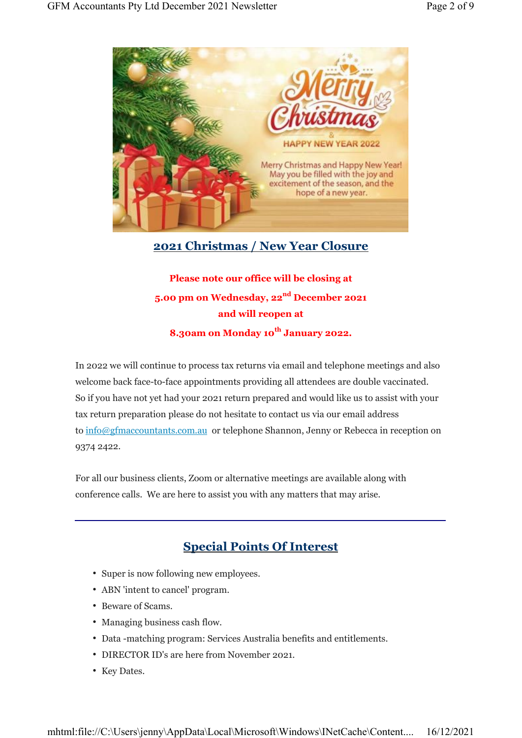

# 2021 Christmas / New Year Closure

# Please note our office will be closing at 5.00 pm on Wednesday, 22<sup>nd</sup> December 2021 and will reopen at

8.30am on Monday 10<sup>th</sup> January 2022.

In 2022 we will continue to process tax returns via email and telephone meetings and also welcome back face-to-face appointments providing all attendees are double vaccinated. So if you have not yet had your 2021 return prepared and would like us to assist with your tax return preparation please do not hesitate to contact us via our email address to info@gfmaccountants.com.au or telephone Shannon, Jenny or Rebecca in reception on 9374 2422.

For all our business clients, Zoom or alternative meetings are available along with conference calls. We are here to assist you with any matters that may arise.

# Special Points Of Interest

- Super is now following new employees.
- ABN 'intent to cancel' program.
- Beware of Scams.
- Managing business cash flow.
- Data -matching program: Services Australia benefits and entitlements.
- DIRECTOR ID's are here from November 2021.
- Key Dates.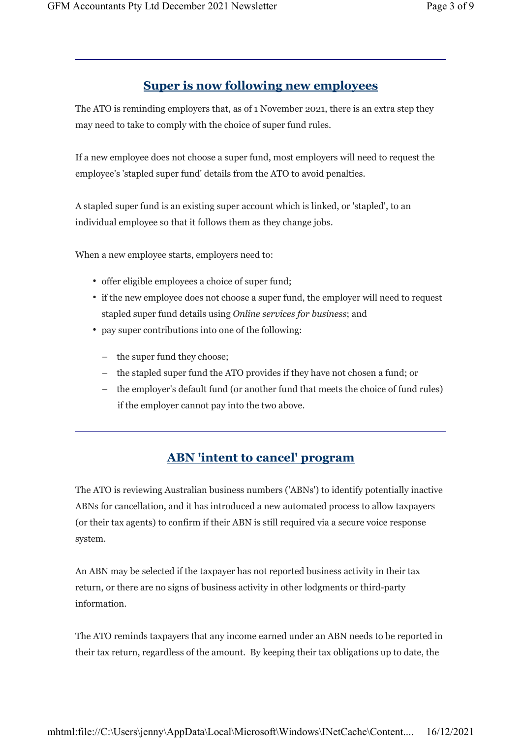# Super is now following new employees

The ATO is reminding employers that, as of 1 November 2021, there is an extra step they may need to take to comply with the choice of super fund rules.

If a new employee does not choose a super fund, most employers will need to request the employee's 'stapled super fund' details from the ATO to avoid penalties.

A stapled super fund is an existing super account which is linked, or 'stapled', to an individual employee so that it follows them as they change jobs.

When a new employee starts, employers need to:

- offer eligible employees a choice of super fund;
- if the new employee does not choose a super fund, the employer will need to request stapled super fund details using Online services for business; and
- pay super contributions into one of the following:
	- the super fund they choose;
	- the stapled super fund the ATO provides if they have not chosen a fund; or
	- the employer's default fund (or another fund that meets the choice of fund rules) if the employer cannot pay into the two above.

# ABN 'intent to cancel' program

The ATO is reviewing Australian business numbers ('ABNs') to identify potentially inactive ABNs for cancellation, and it has introduced a new automated process to allow taxpayers (or their tax agents) to confirm if their ABN is still required via a secure voice response system.

An ABN may be selected if the taxpayer has not reported business activity in their tax return, or there are no signs of business activity in other lodgments or third-party information.

The ATO reminds taxpayers that any income earned under an ABN needs to be reported in their tax return, regardless of the amount. By keeping their tax obligations up to date, the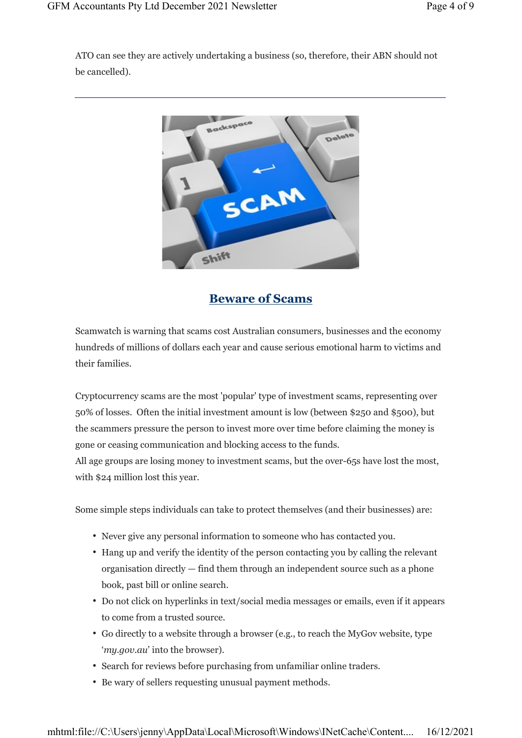ATO can see they are actively undertaking a business (so, therefore, their ABN should not be cancelled).



# Beware of Scams

Scamwatch is warning that scams cost Australian consumers, businesses and the economy hundreds of millions of dollars each year and cause serious emotional harm to victims and their families.

Cryptocurrency scams are the most 'popular' type of investment scams, representing over 50% of losses. Often the initial investment amount is low (between \$250 and \$500), but the scammers pressure the person to invest more over time before claiming the money is gone or ceasing communication and blocking access to the funds.

All age groups are losing money to investment scams, but the over-65s have lost the most, with \$24 million lost this year.

Some simple steps individuals can take to protect themselves (and their businesses) are:

- Never give any personal information to someone who has contacted you.
- Hang up and verify the identity of the person contacting you by calling the relevant organisation directly — find them through an independent source such as a phone book, past bill or online search.
- Do not click on hyperlinks in text/social media messages or emails, even if it appears to come from a trusted source.
- Go directly to a website through a browser (e.g., to reach the MyGov website, type 'my.gov.au' into the browser).
- Search for reviews before purchasing from unfamiliar online traders.
- Be wary of sellers requesting unusual payment methods.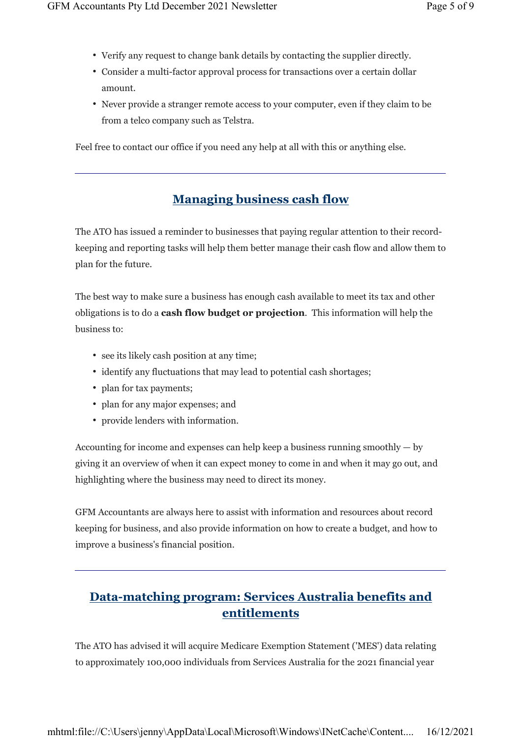- Verify any request to change bank details by contacting the supplier directly.
- Consider a multi-factor approval process for transactions over a certain dollar amount.
- Never provide a stranger remote access to your computer, even if they claim to be from a telco company such as Telstra.

Feel free to contact our office if you need any help at all with this or anything else.

# Managing business cash flow

The ATO has issued a reminder to businesses that paying regular attention to their recordkeeping and reporting tasks will help them better manage their cash flow and allow them to plan for the future.

The best way to make sure a business has enough cash available to meet its tax and other obligations is to do a cash flow budget or projection. This information will help the business to:

- see its likely cash position at any time;
- identify any fluctuations that may lead to potential cash shortages;
- plan for tax payments;
- plan for any major expenses; and
- provide lenders with information.

Accounting for income and expenses can help keep a business running smoothly — by giving it an overview of when it can expect money to come in and when it may go out, and highlighting where the business may need to direct its money.

GFM Accountants are always here to assist with information and resources about record keeping for business, and also provide information on how to create a budget, and how to improve a business's financial position.

# Data-matching program: Services Australia benefits and entitlements

The ATO has advised it will acquire Medicare Exemption Statement ('MES') data relating to approximately 100,000 individuals from Services Australia for the 2021 financial year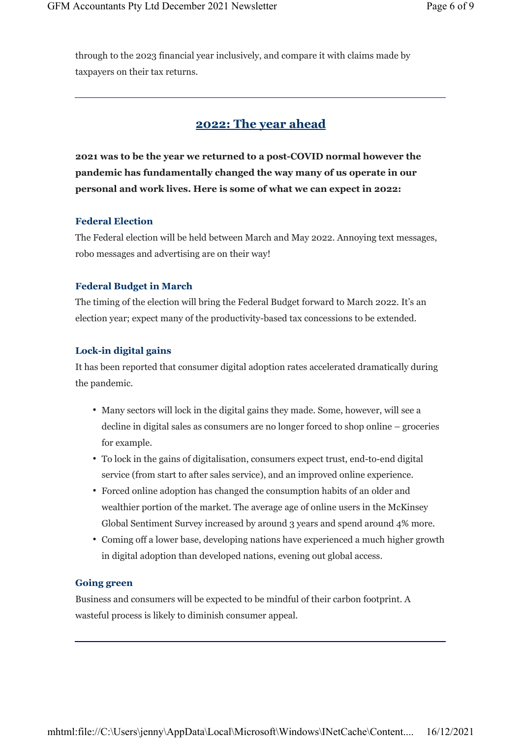through to the 2023 financial year inclusively, and compare it with claims made by taxpayers on their tax returns.

### 2022: The year ahead

2021 was to be the year we returned to a post-COVID normal however the pandemic has fundamentally changed the way many of us operate in our personal and work lives. Here is some of what we can expect in 2022:

#### Federal Election

The Federal election will be held between March and May 2022. Annoying text messages, robo messages and advertising are on their way!

#### Federal Budget in March

The timing of the election will bring the Federal Budget forward to March 2022. It's an election year; expect many of the productivity-based tax concessions to be extended.

#### Lock-in digital gains

It has been reported that consumer digital adoption rates accelerated dramatically during the pandemic.

- Many sectors will lock in the digital gains they made. Some, however, will see a decline in digital sales as consumers are no longer forced to shop online – groceries for example.
- To lock in the gains of digitalisation, consumers expect trust, end-to-end digital service (from start to after sales service), and an improved online experience.
- Forced online adoption has changed the consumption habits of an older and wealthier portion of the market. The average age of online users in the McKinsey Global Sentiment Survey increased by around 3 years and spend around 4% more.
- Coming off a lower base, developing nations have experienced a much higher growth in digital adoption than developed nations, evening out global access.

#### Going green

Business and consumers will be expected to be mindful of their carbon footprint. A wasteful process is likely to diminish consumer appeal.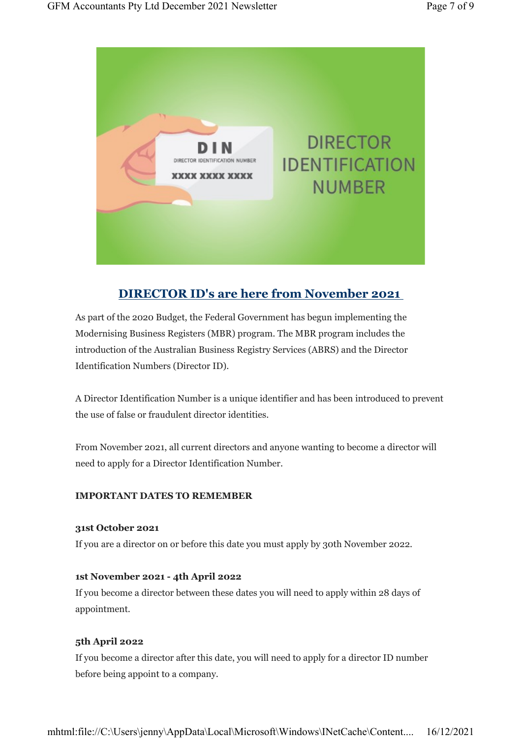

# DIRECTOR ID's are here from November 2021

As part of the 2020 Budget, the Federal Government has begun implementing the Modernising Business Registers (MBR) program. The MBR program includes the introduction of the Australian Business Registry Services (ABRS) and the Director Identification Numbers (Director ID).

A Director Identification Number is a unique identifier and has been introduced to prevent the use of false or fraudulent director identities.

From November 2021, all current directors and anyone wanting to become a director will need to apply for a Director Identification Number.

#### IMPORTANT DATES TO REMEMBER

#### 31st October 2021

If you are a director on or before this date you must apply by 30th November 2022.

#### 1st November 2021 - 4th April 2022

If you become a director between these dates you will need to apply within 28 days of appointment.

#### 5th April 2022

If you become a director after this date, you will need to apply for a director ID number before being appoint to a company.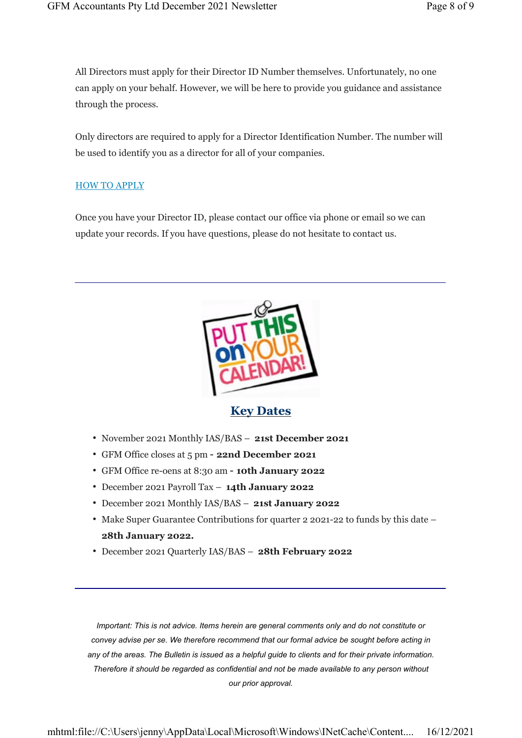All Directors must apply for their Director ID Number themselves. Unfortunately, no one can apply on your behalf. However, we will be here to provide you guidance and assistance through the process.

Only directors are required to apply for a Director Identification Number. The number will be used to identify you as a director for all of your companies.

#### HOW TO APPLY

Once you have your Director ID, please contact our office via phone or email so we can update your records. If you have questions, please do not hesitate to contact us.



### Key Dates

- November 2021 Monthly IAS/BAS 21st December 2021
- GFM Office closes at 5 pm 22nd December 2021
- GFM Office re-oens at 8:30 am 10th January 2022
- December 2021 Payroll Tax 14th January 2022
- December 2021 Monthly IAS/BAS 21st January 2022
- Make Super Guarantee Contributions for quarter 2 2021-22 to funds by this date 28th January 2022.
- December 2021 Quarterly IAS/BAS 28th February 2022

Important: This is not advice. Items herein are general comments only and do not constitute or convey advise per se. We therefore recommend that our formal advice be sought before acting in any of the areas. The Bulletin is issued as a helpful guide to clients and for their private information. Therefore it should be regarded as confidential and not be made available to any person without our prior approval.